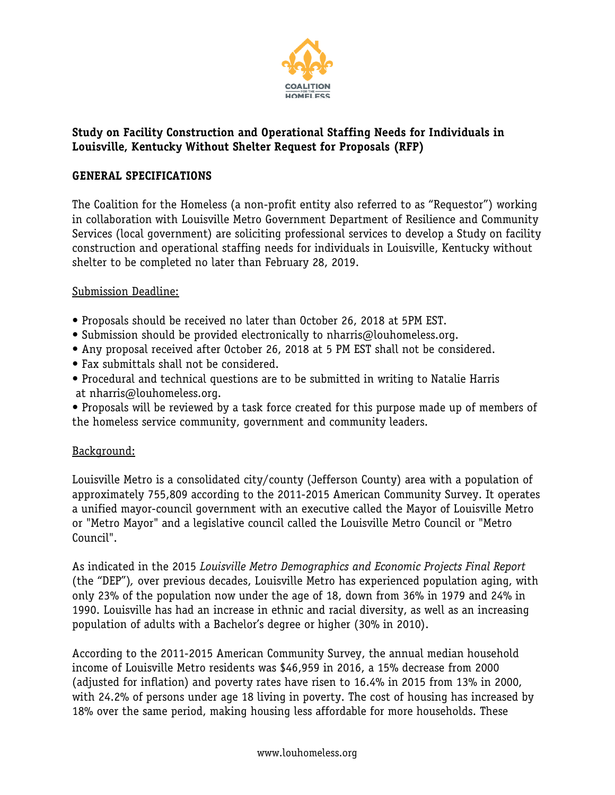

# **Study on Facility Construction and Operational Staffing Needs for Individuals in Louisville, Kentucky Without Shelter Request for Proposals (RFP)**

## **GENERAL SPECIFICATIONS**

The Coalition for the Homeless (a non-profit entity also referred to as "Requestor") working in collaboration with Louisville Metro Government Department of Resilience and Community Services (local government) are soliciting professional services to develop a Study on facility construction and operational staffing needs for individuals in Louisville, Kentucky without shelter to be completed no later than February 28, 2019.

#### Submission Deadline:

- Proposals should be received no later than October 26, 2018 at 5PM EST.
- Submission should be provided electronically to nharris@louhomeless.org.
- Any proposal received after October 26, 2018 at 5 PM EST shall not be considered.
- Fax submittals shall not be considered.
- Procedural and technical questions are to be submitted in writing to Natalie Harris at nharris@louhomeless.org.
- Proposals will be reviewed by a task force created for this purpose made up of members of the homeless service community, government and community leaders.

#### Background:

Louisville Metro is a consolidated city/county (Jefferson County) area with a population of approximately 755,809 according to the 2011-2015 American Community Survey. It operates a unified mayor-council government with an executive called the Mayor of Louisville Metro or "Metro Mayor" and a legislative council called the Louisville Metro Council or "Metro Council".

As indicated in the 2015 *Louisville Metro Demographics and Economic Projects Final Report*  (the "DEP")*,* over previous decades, Louisville Metro has experienced population aging, with only 23% of the population now under the age of 18, down from 36% in 1979 and 24% in 1990. Louisville has had an increase in ethnic and racial diversity, as well as an increasing population of adults with a Bachelor's degree or higher (30% in 2010).

According to the 2011-2015 American Community Survey, the annual median household income of Louisville Metro residents was \$46,959 in 2016, a 15% decrease from 2000 (adjusted for inflation) and poverty rates have risen to 16.4% in 2015 from 13% in 2000, with 24.2% of persons under age 18 living in poverty. The cost of housing has increased by 18% over the same period, making housing less affordable for more households. These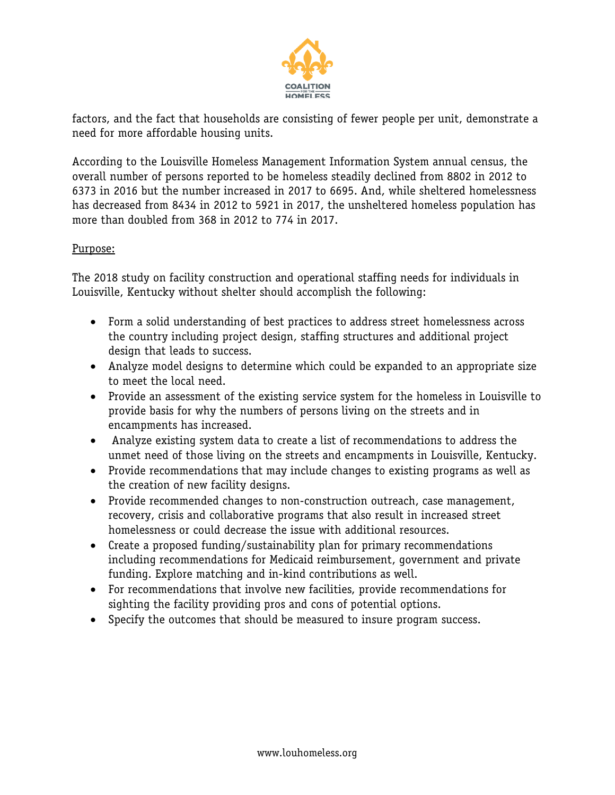

factors, and the fact that households are consisting of fewer people per unit, demonstrate a need for more affordable housing units.

According to the Louisville Homeless Management Information System annual census, the overall number of persons reported to be homeless steadily declined from 8802 in 2012 to 6373 in 2016 but the number increased in 2017 to 6695. And, while sheltered homelessness has decreased from 8434 in 2012 to 5921 in 2017, the unsheltered homeless population has more than doubled from 368 in 2012 to 774 in 2017.

## Purpose:

The 2018 study on facility construction and operational staffing needs for individuals in Louisville, Kentucky without shelter should accomplish the following:

- Form a solid understanding of best practices to address street homelessness across the country including project design, staffing structures and additional project design that leads to success.
- Analyze model designs to determine which could be expanded to an appropriate size to meet the local need.
- Provide an assessment of the existing service system for the homeless in Louisville to provide basis for why the numbers of persons living on the streets and in encampments has increased.
- Analyze existing system data to create a list of recommendations to address the unmet need of those living on the streets and encampments in Louisville, Kentucky.
- Provide recommendations that may include changes to existing programs as well as the creation of new facility designs.
- Provide recommended changes to non-construction outreach, case management, recovery, crisis and collaborative programs that also result in increased street homelessness or could decrease the issue with additional resources.
- Create a proposed funding/sustainability plan for primary recommendations including recommendations for Medicaid reimbursement, government and private funding. Explore matching and in-kind contributions as well.
- For recommendations that involve new facilities, provide recommendations for sighting the facility providing pros and cons of potential options.
- Specify the outcomes that should be measured to insure program success.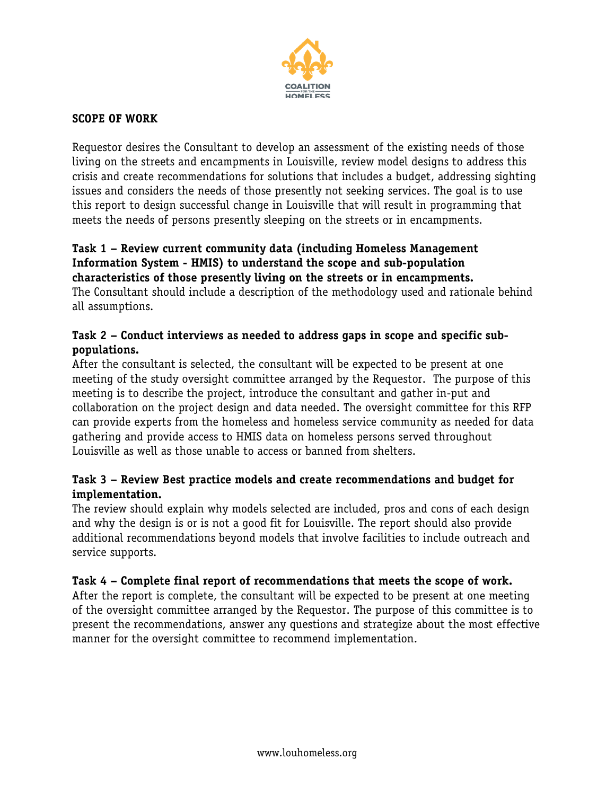

## **SCOPE OF WORK**

Requestor desires the Consultant to develop an assessment of the existing needs of those living on the streets and encampments in Louisville, review model designs to address this crisis and create recommendations for solutions that includes a budget, addressing sighting issues and considers the needs of those presently not seeking services. The goal is to use this report to design successful change in Louisville that will result in programming that meets the needs of persons presently sleeping on the streets or in encampments.

#### **Task 1 – Review current community data (including Homeless Management Information System - HMIS) to understand the scope and sub-population characteristics of those presently living on the streets or in encampments.**

The Consultant should include a description of the methodology used and rationale behind all assumptions.

## **Task 2 – Conduct interviews as needed to address gaps in scope and specific subpopulations.**

After the consultant is selected, the consultant will be expected to be present at one meeting of the study oversight committee arranged by the Requestor. The purpose of this meeting is to describe the project, introduce the consultant and gather in-put and collaboration on the project design and data needed. The oversight committee for this RFP can provide experts from the homeless and homeless service community as needed for data gathering and provide access to HMIS data on homeless persons served throughout Louisville as well as those unable to access or banned from shelters.

# **Task 3 – Review Best practice models and create recommendations and budget for implementation.**

The review should explain why models selected are included, pros and cons of each design and why the design is or is not a good fit for Louisville. The report should also provide additional recommendations beyond models that involve facilities to include outreach and service supports.

#### **Task 4 – Complete final report of recommendations that meets the scope of work.**

After the report is complete, the consultant will be expected to be present at one meeting of the oversight committee arranged by the Requestor. The purpose of this committee is to present the recommendations, answer any questions and strategize about the most effective manner for the oversight committee to recommend implementation.